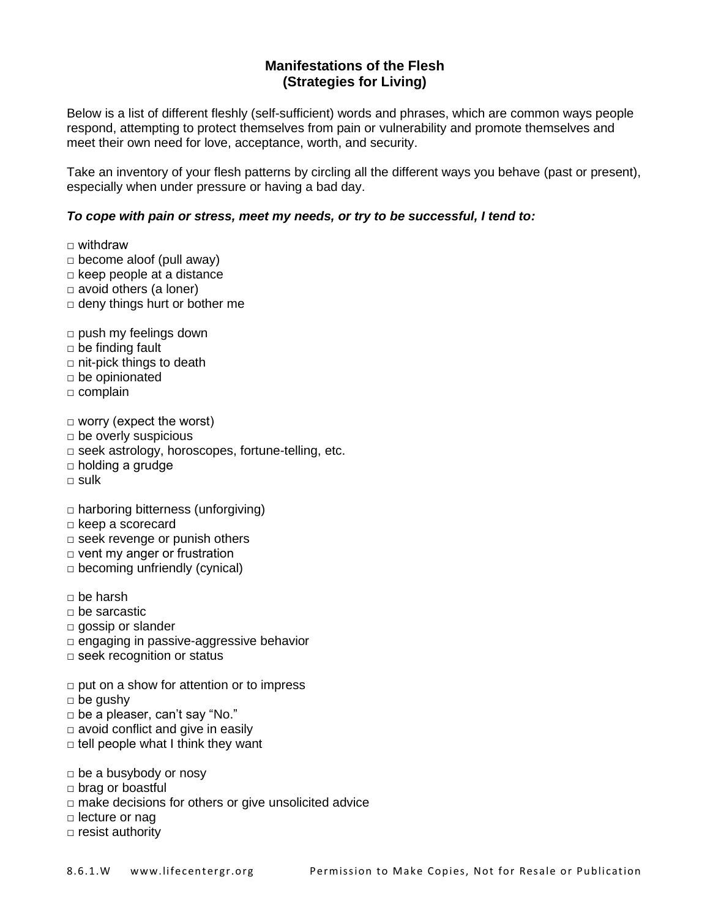## **Manifestations of the Flesh (Strategies for Living)**

Below is a list of different fleshly (self-sufficient) words and phrases, which are common ways people respond, attempting to protect themselves from pain or vulnerability and promote themselves and meet their own need for love, acceptance, worth, and security.

Take an inventory of your flesh patterns by circling all the different ways you behave (past or present), especially when under pressure or having a bad day.

## *To cope with pain or stress, meet my needs, or try to be successful, I tend to:*

 $\Box$  withdraw

- $\Box$  become aloof (pull away)
- $\Box$  keep people at a distance
- □ avoid others (a loner)
- $\Box$  deny things hurt or bother me

 $\Box$  push my feelings down

- $\Box$  be finding fault
- $\Box$  nit-pick things to death
- □ be opinionated
- □ complain

 $\Box$  worry (expect the worst)

- $\Box$  be overly suspicious
- □ seek astrology, horoscopes, fortune-telling, etc.
- □ holding a grudge
- □ sulk
- □ harboring bitterness (unforgiving)
- □ keep a scorecard
- $\Box$  seek revenge or punish others
- □ vent my anger or frustration
- $\Box$  becoming unfriendly (cynical)
- $\Box$  be harsh
- □ be sarcastic
- □ gossip or slander
- □ engaging in passive-aggressive behavior
- □ seek recognition or status
- $\Box$  put on a show for attention or to impress
- $\Box$  be gushy
- $\Box$  be a pleaser, can't say "No."
- $\Box$  avoid conflict and give in easily
- $\Box$  tell people what I think they want
- $\Box$  be a busybody or nosy
- □ brag or boastful
- □ make decisions for others or give unsolicited advice
- □ lecture or nag
- □ resist authority